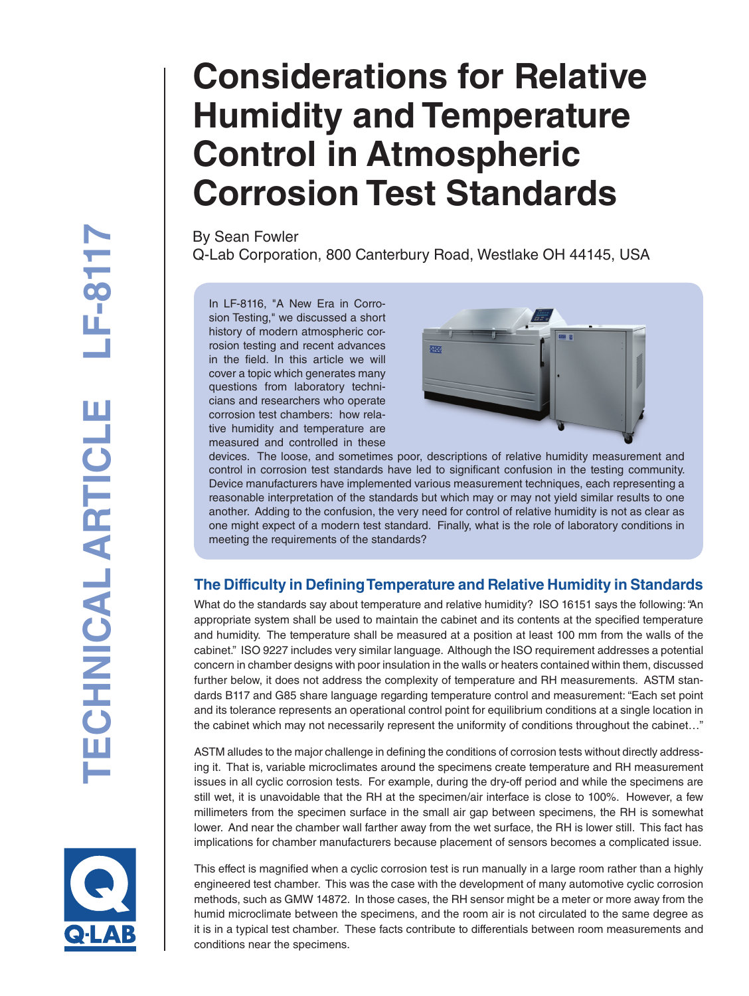# **Considerations for Relative Humidity and Temperature Control in Atmospheric Corrosion Test Standards**

By Sean Fowler Q-Lab Corporation, 800 Canterbury Road, Westlake OH 44145, USA

In LF-8116, "A New Era in Corrosion Testing," we discussed a short history of modern atmospheric corrosion testing and recent advances in the field. In this article we will cover a topic which generates many questions from laboratory techni cians and researchers who operate corrosion test chambers: how rela tive humidity and temperature are measured and controlled in these



devices. The loose, and sometimes poor, descriptions of relative humidity measurement and control in corrosion test standards have led to significant confusion in the testing community. Device manufacturers have implemented various measurement techniques, each representing a reasonable interpretation of the standards but which may or may not yield similar results to one another. Adding to the confusion, the very need for control of relative humidity is not as clear as one might expect of a modern test standard. Finally, what is the role of laboratory conditions in meeting the requirements of the standards?

## **The Difficulty in Defining Temperature and Relative Humidity in Standards**

What do the standards say about temperature and relative humidity? ISO 16151 says the following: "An appropriate system shall be used to maintain the cabinet and its contents at the specified temperature and humidity. The temperature shall be measured at a position at least 100 mm from the walls of the cabinet." ISO 9227 includes very similar language. Although the ISO requirement addresses a potential concern in chamber designs with poor insulation in the walls or heaters contained within them, discussed further below, it does not address the complexity of temperature and RH measurements. ASTM stan dards B117 and G85 share language regarding temperature control and measurement: "Each set point and its tolerance represents an operational control point for equilibrium conditions at a single location in the cabinet which may not necessarily represent the uniformity of conditions throughout the cabinet…"

ASTM alludes to the major challenge in defining the conditions of corrosion tests without directly address ing it. That is, variable microclimates around the specimens create temperature and RH measurement issues in all cyclic corrosion tests. For example, during the dry-off period and while the specimens are still wet, it is unavoidable that the RH at the specimen/air interface is close to 100%. However, a few millimeters from the specimen surface in the small air gap between specimens, the RH is somewhat lower. And near the chamber wall farther away from the wet surface, the RH is lower still. This fact has implications for chamber manufacturers because placement of sensors becomes a complicated issue.



This effect is magnified when a cyclic corrosion test is run manually in a large room rather than a highly engineered test chamber. This was the case with the development of many automotive cyclic corrosion methods, such as GMW 14872. In those cases, the RH sensor might be a meter or more away from the humid microclimate between the specimens, and the room air is not circulated to the same degree as it is in a typical test chamber. These facts contribute to differentials between room measurements and conditions near the specimens.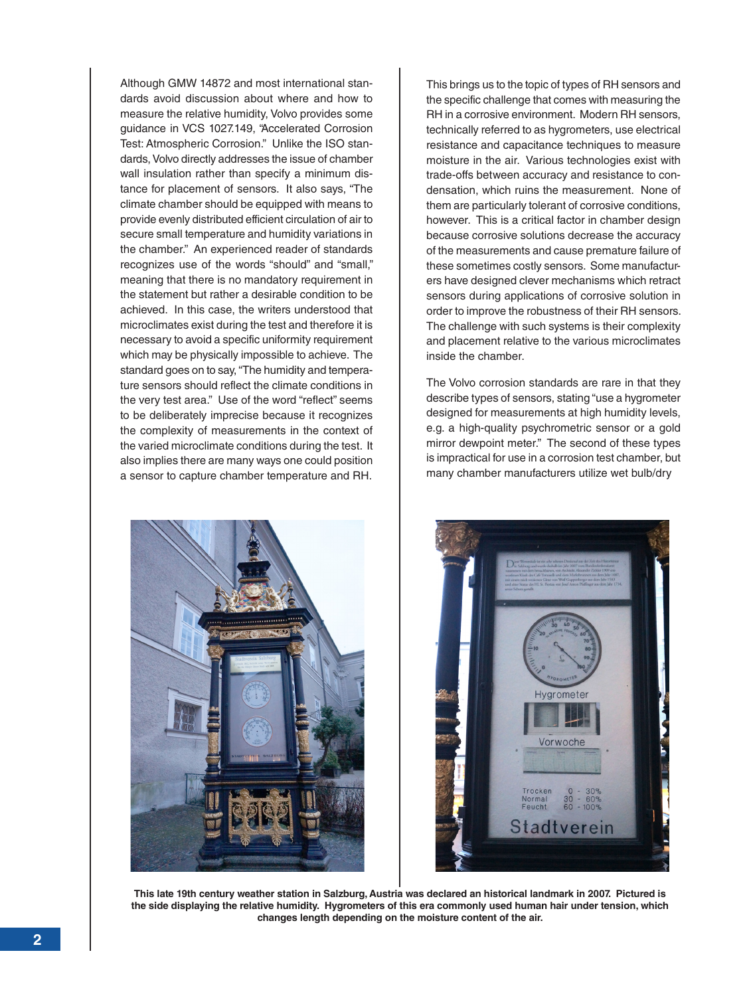Although GMW 14872 and most international standards avoid discussion about where and how to measure the relative humidity, Volvo provides some guidance in VCS 1027.149, "Accelerated Corrosion Test: Atmospheric Corrosion." Unlike the ISO standards, Volvo directly addresses the issue of chamber wall insulation rather than specify a minimum distance for placement of sensors. It also says, "The climate chamber should be equipped with means to provide evenly distributed efficient circulation of air to secure small temperature and humidity variations in the chamber." An experienced reader of standards recognizes use of the words "should" and "small," meaning that there is no mandatory requirement in the statement but rather a desirable condition to be achieved. In this case, the writers understood that microclimates exist during the test and therefore it is necessary to avoid a specific uniformity requirement which may be physically impossible to achieve. The standard goes on to say, "The humidity and temperature sensors should reflect the climate conditions in the very test area." Use of the word "reflect" seems to be deliberately imprecise because it recognizes the complexity of measurements in the context of the varied microclimate conditions during the test. It also implies there are many ways one could position a sensor to capture chamber temperature and RH.

This brings us to the topic of types of RH sensors and the specific challenge that comes with measuring the RH in a corrosive environment. Modern RH sensors, technically referred to as hygrometers, use electrical resistance and capacitance techniques to measure moisture in the air. Various technologies exist with trade-offs between accuracy and resistance to condensation, which ruins the measurement. None of them are particularly tolerant of corrosive conditions, however. This is a critical factor in chamber design because corrosive solutions decrease the accuracy of the measurements and cause premature failure of these sometimes costly sensors. Some manufacturers have designed clever mechanisms which retract sensors during applications of corrosive solution in order to improve the robustness of their RH sensors. The challenge with such systems is their complexity and placement relative to the various microclimates inside the chamber.

The Volvo corrosion standards are rare in that they describe types of sensors, stating "use a hygrometer designed for measurements at high humidity levels, e.g. a high-quality psychrometric sensor or a gold mirror dewpoint meter." The second of these types is impractical for use in a corrosion test chamber, but many chamber manufacturers utilize wet bulb/dry





**This late 19th century weather station in Salzburg, Austria was declared an historical landmark in 2007. Pictured is the side displaying the relative humidity. Hygrometers of this era commonly used human hair under tension, which changes length depending on the moisture content of the air.**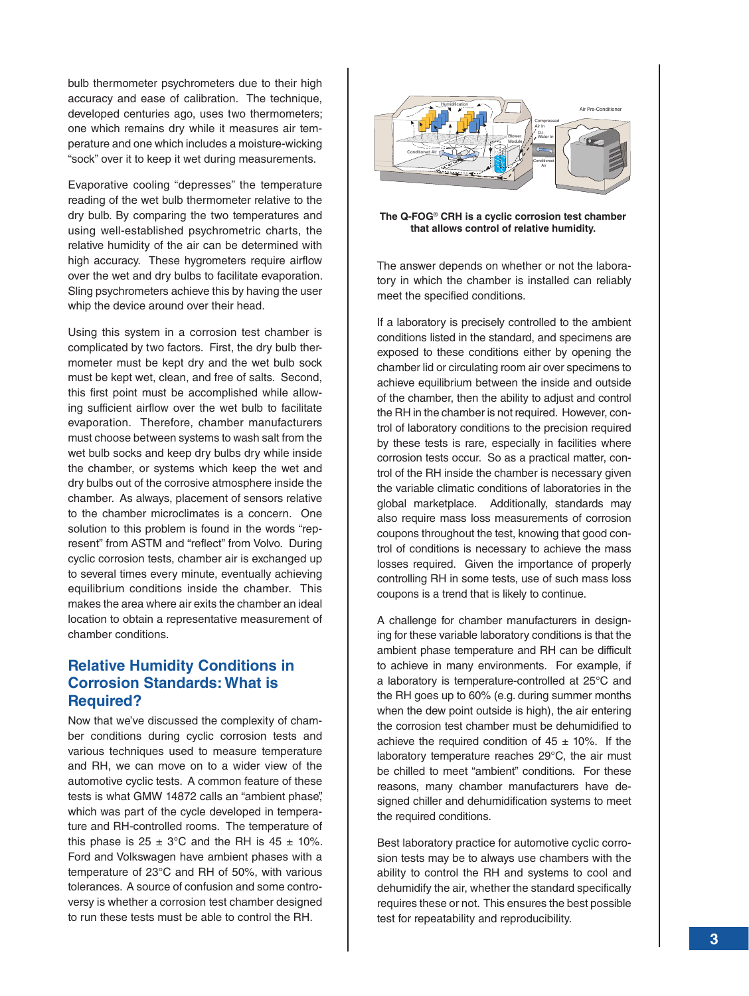bulb thermometer psychrometers due to their high accuracy and ease of calibration. The technique, developed centuries ago, uses two thermometers; one which remains dry while it measures air temperature and one which includes a moisture-wicking "sock" over it to keep it wet during measurements.

Evaporative cooling "depresses" the temperature reading of the wet bulb thermometer relative to the dry bulb. By comparing the two temperatures and using well-established psychrometric charts, the relative humidity of the air can be determined with high accuracy. These hygrometers require airflow over the wet and dry bulbs to facilitate evaporation. Sling psychrometers achieve this by having the user whip the device around over their head.

Using this system in a corrosion test chamber is complicated by two factors. First, the dry bulb thermometer must be kept dry and the wet bulb sock must be kept wet, clean, and free of salts. Second, this first point must be accomplished while allowing sufficient airflow over the wet bulb to facilitate evaporation. Therefore, chamber manufacturers must choose between systems to wash salt from the wet bulb socks and keep dry bulbs dry while inside the chamber, or systems which keep the wet and dry bulbs out of the corrosive atmosphere inside the chamber. As always, placement of sensors relative to the chamber microclimates is a concern. One solution to this problem is found in the words "represent" from ASTM and "reflect" from Volvo. During cyclic corrosion tests, chamber air is exchanged up to several times every minute, eventually achieving equilibrium conditions inside the chamber. This makes the area where air exits the chamber an ideal location to obtain a representative measurement of chamber conditions.

#### **Relative Humidity Conditions in Corrosion Standards: What is Required?**

Now that we've discussed the complexity of chamber conditions during cyclic corrosion tests and various techniques used to measure temperature and RH, we can move on to a wider view of the automotive cyclic tests. A common feature of these tests is what GMW 14872 calls an "ambient phase", which was part of the cycle developed in temperature and RH-controlled rooms. The temperature of this phase is  $25 \pm 3^{\circ}$ C and the RH is  $45 \pm 10\%$ . Ford and Volkswagen have ambient phases with a temperature of 23°C and RH of 50%, with various tolerances. A source of confusion and some controversy is whether a corrosion test chamber designed to run these tests must be able to control the RH.



**The Q-FOG**® **CRH is a cyclic corrosion test chamber that allows control of relative humidity.**

The answer depends on whether or not the laboratory in which the chamber is installed can reliably meet the specified conditions.

If a laboratory is precisely controlled to the ambient conditions listed in the standard, and specimens are exposed to these conditions either by opening the chamber lid or circulating room air over specimens to achieve equilibrium between the inside and outside of the chamber, then the ability to adjust and control the RH in the chamber is not required. However, control of laboratory conditions to the precision required by these tests is rare, especially in facilities where corrosion tests occur. So as a practical matter, control of the RH inside the chamber is necessary given the variable climatic conditions of laboratories in the global marketplace. Additionally, standards may also require mass loss measurements of corrosion coupons throughout the test, knowing that good control of conditions is necessary to achieve the mass losses required. Given the importance of properly controlling RH in some tests, use of such mass loss coupons is a trend that is likely to continue.

A challenge for chamber manufacturers in designing for these variable laboratory conditions is that the ambient phase temperature and RH can be difficult to achieve in many environments. For example, if a laboratory is temperature-controlled at 25°C and the RH goes up to 60% (e.g. during summer months when the dew point outside is high), the air entering the corrosion test chamber must be dehumidified to achieve the required condition of  $45 \pm 10\%$ . If the laboratory temperature reaches 29°C, the air must be chilled to meet "ambient" conditions. For these reasons, many chamber manufacturers have designed chiller and dehumidification systems to meet the required conditions.

Best laboratory practice for automotive cyclic corrosion tests may be to always use chambers with the ability to control the RH and systems to cool and dehumidify the air, whether the standard specifically requires these or not. This ensures the best possible test for repeatability and reproducibility.